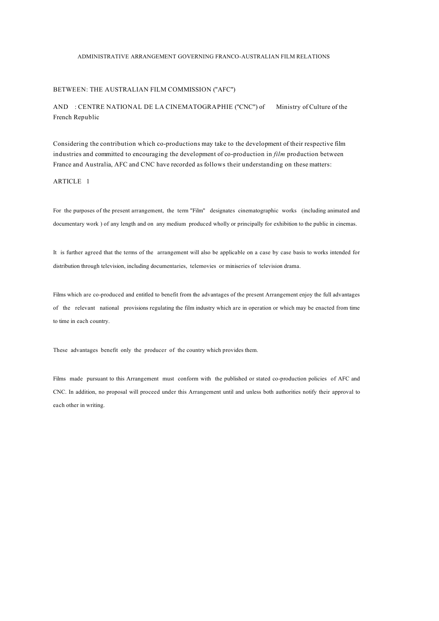# ADMINISTRATIVE ARRANGEMENT GOVERNING FRANCO-AUSTRALIAN FILM RELATIONS

# BETWEEN: THE AUSTRALIAN FILM COMMISSION ("AFC")

AND : CENTRE NATIONAL DE LA CINEMATOGRAPHIE ("CNC") of Ministry of Culture of the French Republic

Considering the contribution which co-productions may take to the development of their respective film industries and committed to encouraging the development of co-production in *film* production between France and Australia, AFC and CNC have recorded as follows their understanding on these matters:

# ARTICLE 1

For the purposes of the present arrangement, the term "Film" designates cinematographic works (including animated and documentary work ) of any length and on any medium produced wholly or principally for exhibition to the public in cinemas.

It is further agreed that the terms of the arrangement will also be applicable on a case by case basis to works intended for distribution through television, including documentaries, telemovies or miniseries of television drama.

Films which are co-produced and entitled to benefit from the advantages of the present Arrangement enjoy the full advantages of the relevant national provisions regulating the film industry which are in operation or which may be enacted from time to time in each country.

These advantages benefit only the producer of the country which provides them.

Films made pursuant to this Arrangement must conform with the published or stated co-production policies of AFC and CNC. In addition, no proposal will proceed under this Arrangement until and unless both authorities notify their approval to each other in writing.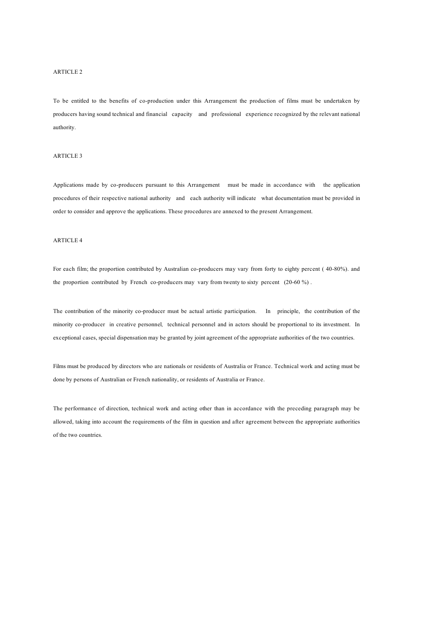#### ARTICLE 2

To be entitled to the benefits of co-production under this Arrangement the production of films must be undertaken by producers having sound technical and financial capacity and professional experience recognized by the relevant national authority.

## ARTICLE 3

Applications made by co-producers pursuant to this Arrangement must be made in accordance with the application procedures of their respective national authority and each authority will indicate what documentation must be provided in order to consider and approve the applications. These procedures are annexed to the present Arrangement.

## ARTICLE 4

For each film; the proportion contributed by Australian co-producers may vary from forty to eighty percent ( 40-80%). and the proportion contributed by French co-producers may vary from twenty to sixty percent (20-60 %).

The contribution of the minority co-producer must be actual artistic participation. In principle, the contribution of the minority co-producer in creative personnel*,* technical personnel and in actors should be proportional to its investment. In exceptional cases, special dispensation may be granted by joint agreement of the appropriate authorities of the two countries.

Films must be produced by directors who are nationals or residents of Australia or France. Technical work and acting must be done by persons of Australian or French nationality, or residents of Australia or France.

The performance of direction, technical work and acting other than in accordance with the preceding paragraph may be allowed, taking into account the requirements of the film in question and after agreement between the appropriate authorities of the two countries.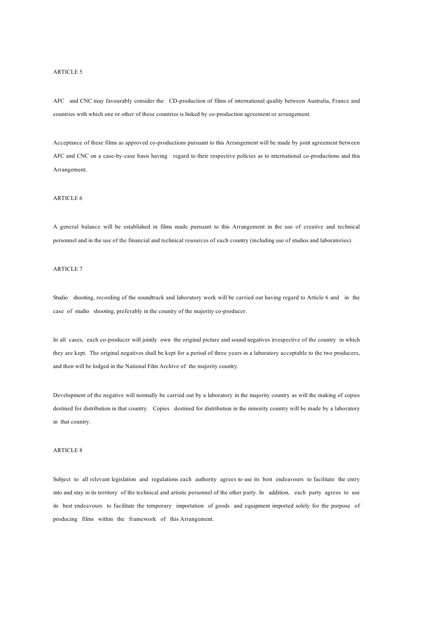#### ARTICLE 5

AFC and CNC may favourably consider the CD-production of films of international quality between Australia, France and countries with which one or other of these countries is linked by co-production agreement or arrangement.

Acceptance of these films as approved co-productions pursuant to this Arrangement will be made by joint agreement between AFC and CNC on a case-by-case basis having regard to their respective policies as to international co-productions and this Arrangement.

# ARTICLE 6

A general balance will be established in films made pursuant to this Arrangement in the use of creative and technical personnel and in the use of the financial and technical resources of each country (including use of studios and laboratories).

#### ARTICLE 7

Studio shooting, recording of the soundtrack and laboratory work will be carried out having regard to Article 6 and in the case of studio shooting, preferably in the country of the majority co-producer.

In all cases, each co-producer will jointly own the original picture and sound negatives irrespective of the country in which they are kept. The original negatives shall be kept for a period of three years in a laboratory acceptable to the two producers, and then will be lodged in the National Film Archive of the majority country.

Development of the negative will normally be carried out by a laboratory in the majority country as will the making of copies destined for distribution in that country. Copies destined for distribution in the minority country will be made by a laboratory in that country.

# ARTICLE 8

Subject to all relevant legislation and regulations each authority agrees to use its best endeavours to facilitate the entry into and stay in its territory of the technical and artistic personnel of the other party. In addition, each party agrees to use its best endeavours to facilitate the temporary importation of goods and equipment imported solely for the purpose of producing films within the framework of this Arrangement.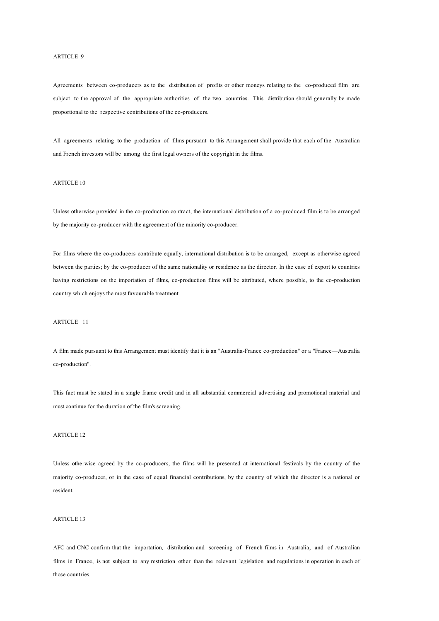#### ARTICLE 9

Agreements between co-producers as to the distribution of profits or other moneys relating to the co-produced film are subject to the approval of the appropriate authorities of the two countries. This distribution should generally be made proportional to the respective contributions of the co-producers.

All agreements relating to the production of films pursuant to this Arrangement shall provide that each of the Australian and French investors will be among the first legal owners of the copyright in the films.

# ARTICLE 10

Unless otherwise provided in the co-production contract, the international distribution of a co-produced film is to be arranged by the majority co-producer with the agreement of the minority co-producer.

For films where the co-producers contribute equally, international distribution is to be arranged, except as otherwise agreed between the parties; by the co-producer of the same nationality or residence as the director. In the case of export to countries having restrictions on the importation of films, co-production films will be attributed, where possible, to the co-production country which enjoys the most favourable treatment.

### ARTICLE 11

A film made pursuant to this Arrangement must identify that it is an "Australia-France co-production" or a "France—Australia co-production".

This fact must be stated in a single frame credit and in all substantial commercial advertising and promotional material and must continue for the duration of the film's screening.

### ARTICLE 12

Unless otherwise agreed by the co-producers, the films will be presented at international festivals by the country of the majority co-producer, or in the case of equal financial contributions, by the country of which the director is a national or resident.

### ARTICLE 13

AFC and CNC confirm that the importation*,* distribution and screening of French films in Australia; and of Australian films in France, is not subject to any restriction other than the relevant legislation and regulations in operation in each of those countries.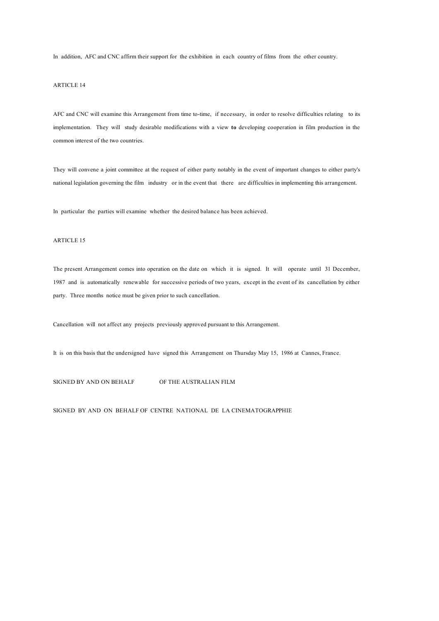In addition, AFC and CNC affirm their support for the exhibition in each country of films from the other country.

# ARTICLE 14

AFC and CNC will examine this Arrangement from time to-time, if necessary, in order to resolve difficulties relating to its implementation. They will study desirable modifications with a view **to** developing cooperation in film production in the common interest of the two countries.

They will convene a joint committee at the request of either party notably in the event of important changes to either party's national legislation governing the film industry or in the event that there are difficulties in implementing this arrangement.

In particular the parties will examine whether the desired balance has been achieved.

## ARTICLE 15

The present Arrangement comes into operation on the date on which it is signed. It will operate until 31 December, 1987 and is automatically renewable for successive periods of two years, except in the event of its cancellation by either party. Three months notice must be given prior to such cancellation.

Cancellation will not affect any projects previously approved pursuant to this Arrangement.

It is on this basis that the undersigned have signed this Arrangement on Thursday May 15, 1986 at Cannes, France.

SIGNED BY AND ON BEHALF OF THE AUSTRALIAN FILM

SIGNED BY AND ON BEHALF OF CENTRE NATIONAL DE LA CINEMATOGRAPPHIE